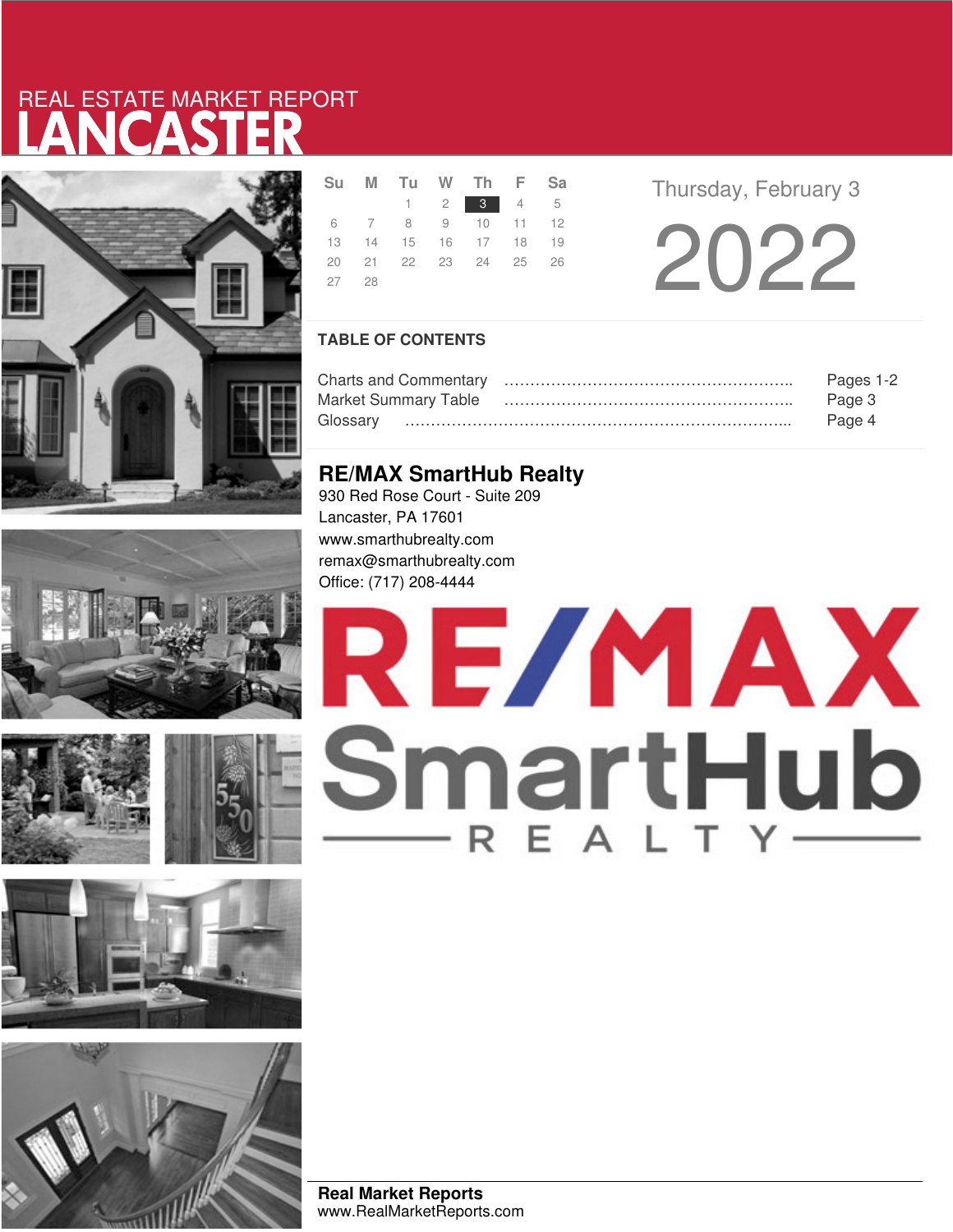# LANCASTER REAL ESTATE MARKET REPORT













|       |  | Su M Tu W Th F Sa    |  |  |
|-------|--|----------------------|--|--|
|       |  | $1 \t2 \t3 \t4 \t5$  |  |  |
|       |  | 6 7 8 9 10 11 12     |  |  |
|       |  | 13 14 15 16 17 18 19 |  |  |
|       |  | 20 21 22 23 24 25 26 |  |  |
| 27 28 |  |                      |  |  |
|       |  |                      |  |  |

**Thursday, February 3** 

2022

## **TABLE OF CONTENTS**

|                             | Pages 1-2 |
|-----------------------------|-----------|
| <b>Market Summary Table</b> | Page 3    |
|                             | Page 4    |

## **RE/MAX SmartHub Realty**

930 Red Rose Court - Suite 209 Lancaster, PA 17601 www.smarthubrealty.com remax@smarthubrealty.com Office: (717) 208-4444

# RE/MAX SmartHub

**Real Market Reports** www.RealMarketReports.com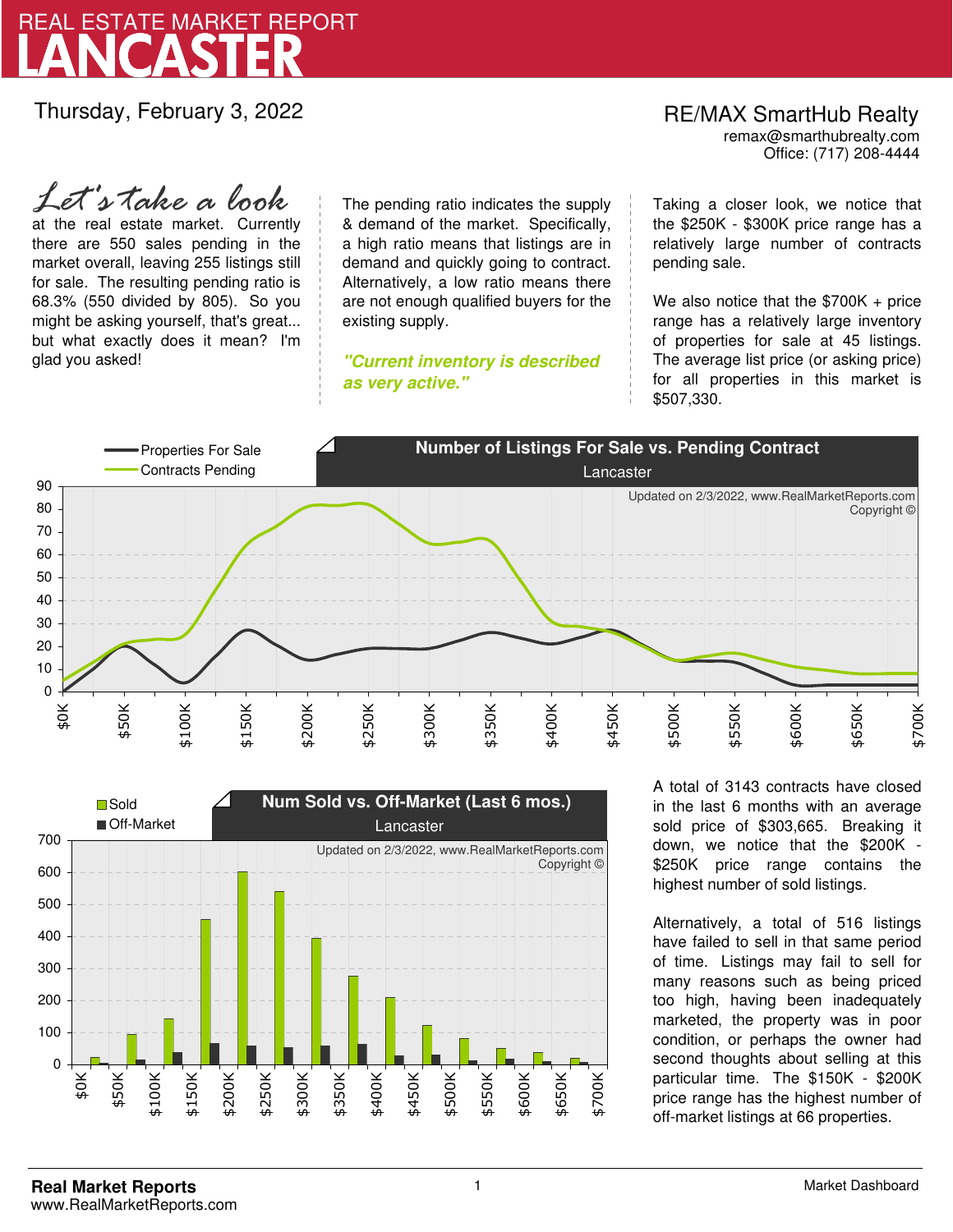

Thursday, February 3, 2022

## at the real estate market. Currently there are 550 sales pending in the market overall, leaving 255 listings still *Let's take a look*

for sale. The resulting pending ratio is 68.3% (550 divided by 805). So you might be asking yourself, that's great... but what exactly does it mean? I'm glad you asked!

The pending ratio indicates the supply & demand of the market. Specifically, a high ratio means that listings are in demand and quickly going to contract. Alternatively, a low ratio means there are not enough qualified buyers for the existing supply.

**"Current inventory is described as very active."**

Office: (717) 208-4444 RE/MAX SmartHub Realty remax@smarthubrealty.com

Taking a closer look, we notice that the \$250K - \$300K price range has a relatively large number of contracts pending sale.

We also notice that the \$700K + price range has a relatively large inventory of properties for sale at 45 listings. The average list price (or asking price) for all properties in this market is \$507,330.





A total of 3143 contracts have closed in the last 6 months with an average sold price of \$303,665. Breaking it down, we notice that the \$200K - \$250K price range contains the highest number of sold listings.

Alternatively, a total of 516 listings have failed to sell in that same period of time. Listings may fail to sell for many reasons such as being priced too high, having been inadequately marketed, the property was in poor condition, or perhaps the owner had second thoughts about selling at this particular time. The \$150K - \$200K price range has the highest number of off-market listings at 66 properties.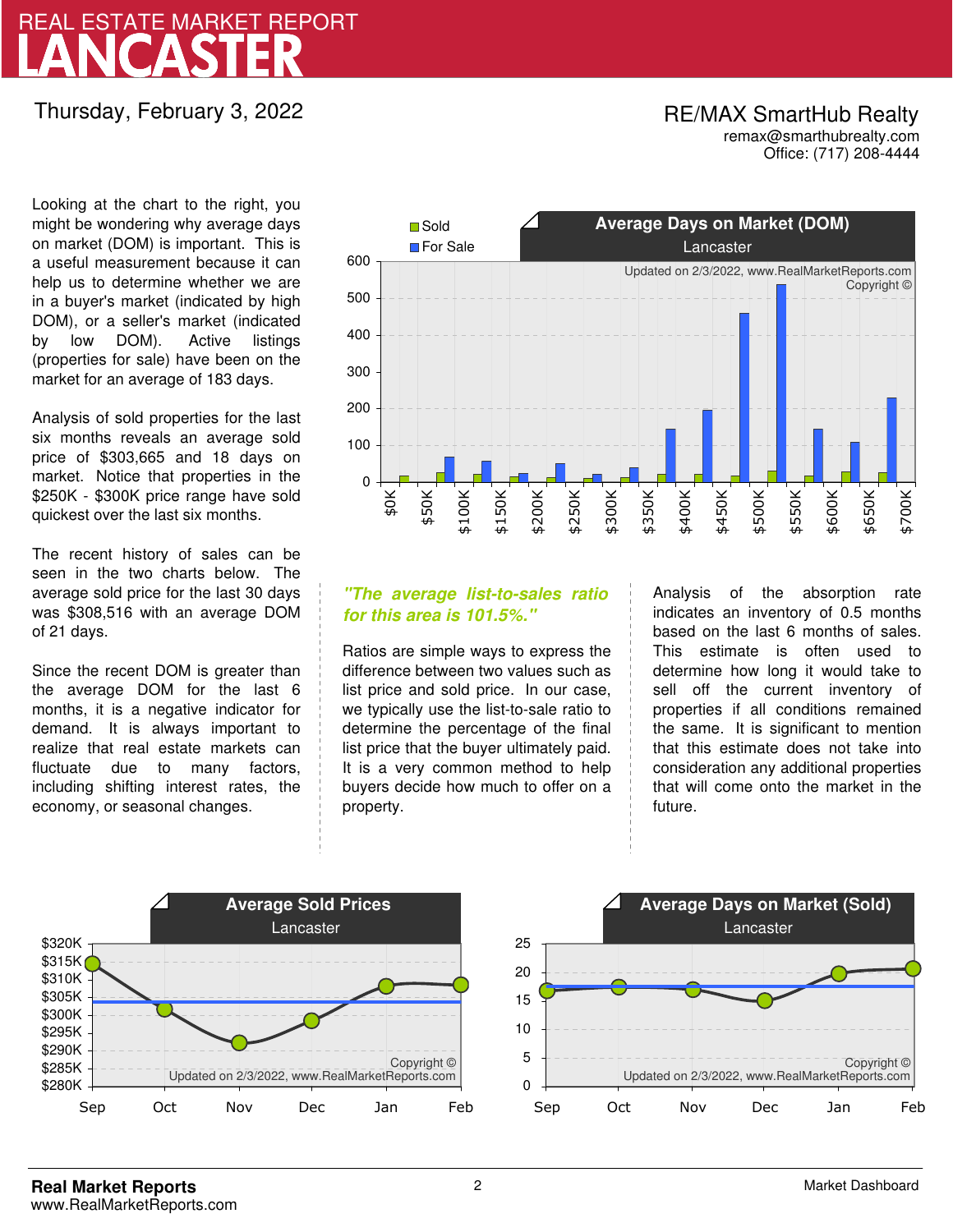# LANCASTER REAL ESTATE MARKET REPORT

# Thursday, February 3, 2022

## RE/MAX SmartHub Realty remax@smarthubrealty.com

Office: (717) 208-4444

Looking at the chart to the right, you might be wondering why average days on market (DOM) is important. This is a useful measurement because it can help us to determine whether we are in a buyer's market (indicated by high DOM), or a seller's market (indicated by low DOM). Active listings (properties for sale) have been on the market for an average of 183 days.

Analysis of sold properties for the last six months reveals an average sold price of \$303,665 and 18 days on market. Notice that properties in the \$250K - \$300K price range have sold quickest over the last six months.

The recent history of sales can be seen in the two charts below. The average sold price for the last 30 days was \$308,516 with an average DOM of 21 days.

Since the recent DOM is greater than the average DOM for the last 6 months, it is a negative indicator for demand. It is always important to realize that real estate markets can fluctuate due to many factors, including shifting interest rates, the economy, or seasonal changes.



## **"The average list-to-sales ratio for this area is 101.5%."**

Ratios are simple ways to express the difference between two values such as list price and sold price. In our case, we typically use the list-to-sale ratio to determine the percentage of the final list price that the buyer ultimately paid. It is a very common method to help buyers decide how much to offer on a property.

Analysis of the absorption rate indicates an inventory of 0.5 months based on the last 6 months of sales. This estimate is often used to determine how long it would take to sell off the current inventory of properties if all conditions remained the same. It is significant to mention that this estimate does not take into consideration any additional properties that will come onto the market in the future.



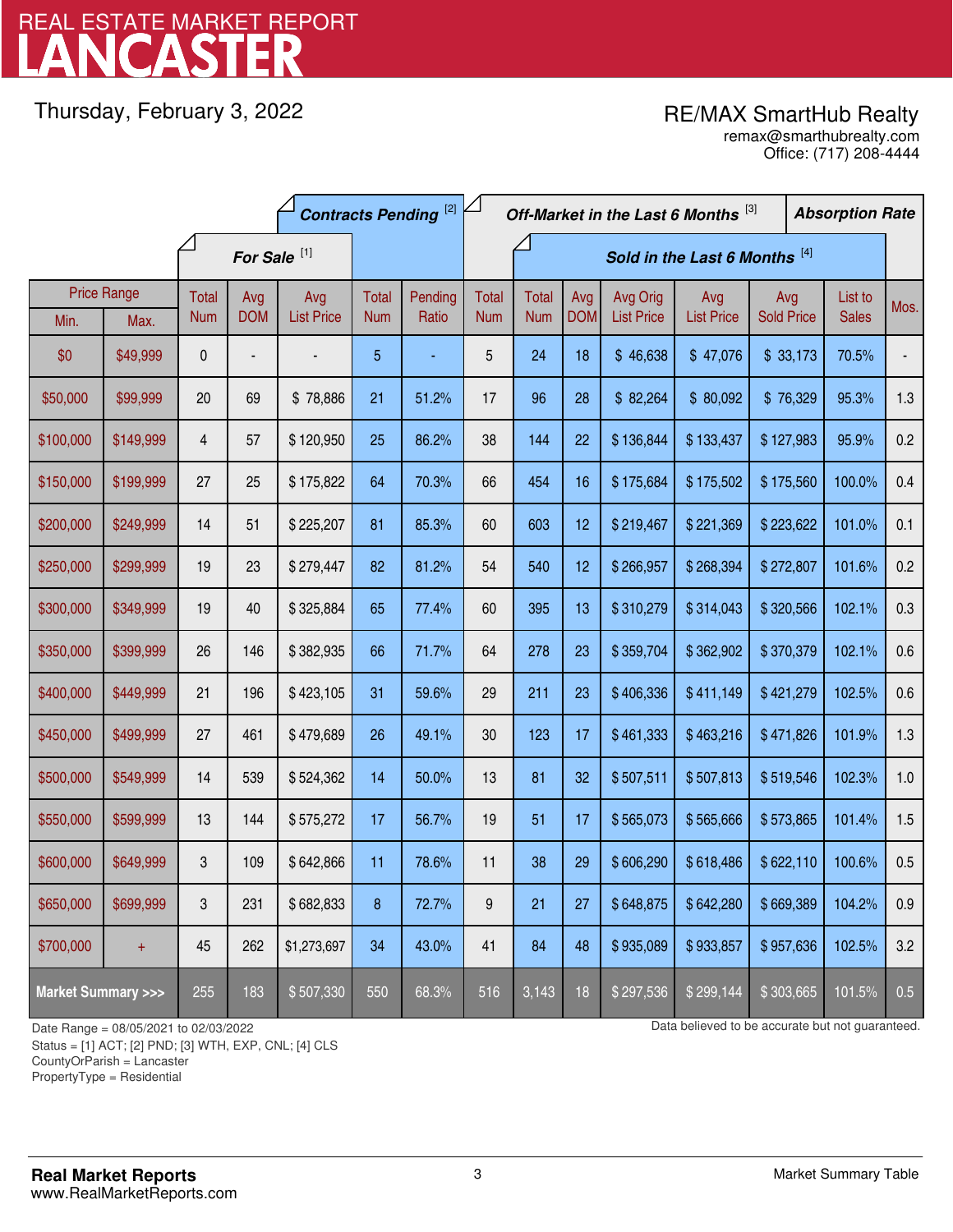# LANCASTER REAL ESTATE MARKET REPORT

Thursday, February 3, 2022

## RE/MAX SmartHub Realty

Office: (717) 208-4444 remax@smarthubrealty.com

|                                    |           | <b>Contracts Pending [2]</b> |            |                   |            | Off-Market in the Last 6 Months [3] |                               |              |            |                   | <b>Absorption Rate</b> |                   |              |      |
|------------------------------------|-----------|------------------------------|------------|-------------------|------------|-------------------------------------|-------------------------------|--------------|------------|-------------------|------------------------|-------------------|--------------|------|
| For Sale <sup>[1]</sup>            |           |                              |            |                   |            |                                     | Sold in the Last 6 Months [4] |              |            |                   |                        |                   |              |      |
| <b>Price Range</b>                 |           | Total                        | Avg        | Avg               | Total      | Pending                             | <b>Total</b>                  | <b>Total</b> | Avg        | Avg Orig          | Avg                    | Avg               | List to      | Mos. |
| Min.                               | Max.      | <b>Num</b>                   | <b>DOM</b> | <b>List Price</b> | <b>Num</b> | Ratio                               | <b>Num</b>                    | <b>Num</b>   | <b>DOM</b> | <b>List Price</b> | <b>List Price</b>      | <b>Sold Price</b> | <b>Sales</b> |      |
| \$0                                | \$49,999  | 0                            |            |                   | 5          |                                     | 5                             | 24           | 18         | \$46,638          | \$47,076               | \$33,173          | 70.5%        |      |
| \$50,000                           | \$99,999  | 20                           | 69         | \$78,886          | 21         | 51.2%                               | 17                            | 96           | 28         | \$82,264          | \$80,092               | \$76,329          | 95.3%        | 1.3  |
| \$100,000                          | \$149,999 | 4                            | 57         | \$120,950         | 25         | 86.2%                               | 38                            | 144          | 22         | \$136,844         | \$133,437              | \$127,983         | 95.9%        | 0.2  |
| \$150,000                          | \$199,999 | 27                           | 25         | \$175,822         | 64         | 70.3%                               | 66                            | 454          | 16         | \$175,684         | \$175,502              | \$175,560         | 100.0%       | 0.4  |
| \$200,000                          | \$249,999 | 14                           | 51         | \$225,207         | 81         | 85.3%                               | 60                            | 603          | 12         | \$219,467         | \$221,369              | \$223,622         | 101.0%       | 0.1  |
| \$250,000                          | \$299,999 | 19                           | 23         | \$279,447         | 82         | 81.2%                               | 54                            | 540          | 12         | \$266,957         | \$268,394              | \$272,807         | 101.6%       | 0.2  |
| \$300,000                          | \$349,999 | 19                           | 40         | \$325,884         | 65         | 77.4%                               | 60                            | 395          | 13         | \$310,279         | \$314,043              | \$320,566         | 102.1%       | 0.3  |
| \$350,000                          | \$399,999 | 26                           | 146        | \$382,935         | 66         | 71.7%                               | 64                            | 278          | 23         | \$359,704         | \$362,902              | \$370,379         | 102.1%       | 0.6  |
| \$400,000                          | \$449,999 | 21                           | 196        | \$423,105         | 31         | 59.6%                               | 29                            | 211          | 23         | \$406,336         | \$411,149              | \$421,279         | 102.5%       | 0.6  |
| \$450,000                          | \$499,999 | 27                           | 461        | \$479,689         | 26         | 49.1%                               | 30                            | 123          | 17         | \$461,333         | \$463,216              | \$471,826         | 101.9%       | 1.3  |
| \$500,000                          | \$549,999 | 14                           | 539        | \$524,362         | 14         | 50.0%                               | 13                            | 81           | 32         | \$507,511         | \$507,813              | \$519,546         | 102.3%       | 1.0  |
| \$550,000                          | \$599,999 | 13                           | 144        | \$575,272         | 17         | 56.7%                               | 19                            | 51           | 17         | \$565,073         | \$565,666              | \$573,865         | 101.4%       | 1.5  |
| \$600,000                          | \$649,999 | 3                            | 109        | \$642,866         | 11         | 78.6%                               | 11                            | 38           | 29         | \$606,290         | \$618,486              | \$622,110         | 100.6%       | 0.5  |
| \$650,000                          | \$699,999 | 3                            | 231        | \$682,833         | 8          | 72.7%                               | 9                             | 21           | 27         | \$648,875         | \$642,280              | \$669,389         | 104.2%       | 0.9  |
| \$700,000                          | $\ddot{}$ | 45                           | 262        | \$1,273,697       | 34         | 43.0%                               | 41                            | 84           | 48         | \$935,089         | \$933,857              | \$957,636         | 102.5%       | 3.2  |
| <b>Market Summary &gt;&gt;&gt;</b> |           | 255                          | 183        | \$507,330         | 550        | 68.3%                               | 516                           | 3,143        | 18         | \$297,536         | \$299,144              | \$303,665         | 101.5%       | 0.5  |

Status = [1] ACT; [2] PND; [3] WTH, EXP, CNL; [4] CLS

CountyOrParish = Lancaster

PropertyType = Residential

1

Date Range = 08/05/2021 to 02/03/2022 Date Range = 08/05/2021 to 02/03/2022